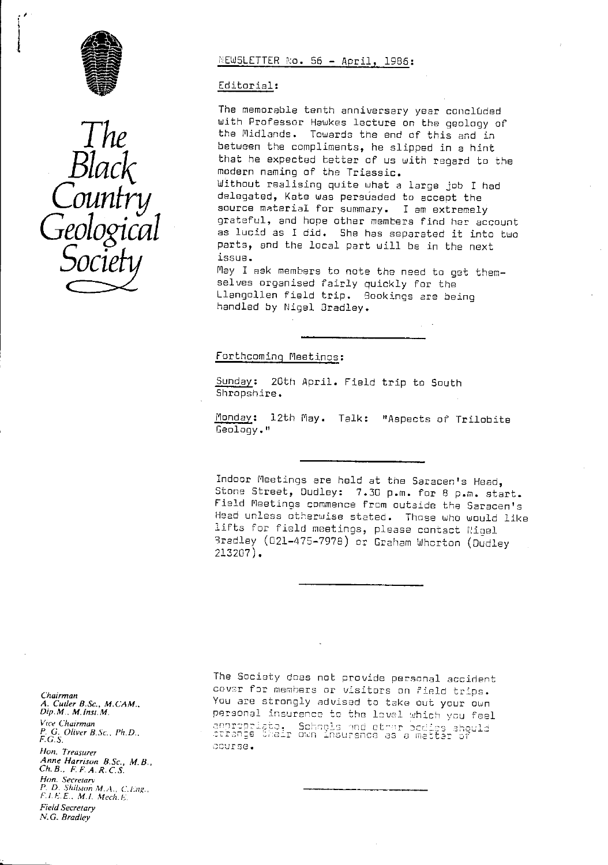



# NEWSLETTER No. 56 - April, 1986:

## Editorial :

The memorable tenth anniversary year concluded with Professor Hawkes lecture on the geology of the Midlands. Towards the end of this and in between the compliments, he slipped in a hint that he expected better of us with regard to the modern naming of the Triassic. Without realising quite what a large job I had<br>delegated, Kate was persúaded to accept the COUNITY delegated, Kate was persuaded to accept the<br>source material for summary. I am extremely  $Geological$  grateful, and hope other members find her account as lucid as I did. She has separated it into two parts, and the local part will be in the part parts, and the local part will be in the next<br>issue.

 $\mathcal{O}\mathcal{O}\mathcal{O}\mathcal{O}$  issue.  $\blacksquare$   $\blacksquare$  issue  $\blacksquare$  ask members to note the need to get themselves organised fairly quickly for the Llangollen field trip. Sookings are being handled by Nigel 3radley.

#### Forthcoming Meetinos :

Sunday: 20th April. Field trip to South Shropshire.

Monday: 12th May. Talk: "Aspects of Trilobite Geology."

Indoor Meetings are held at the Saracen's Head, Stone Street, Dudley: 7.30 p.m. for 8 p.m. start. Field Meetings commence from outside the Saracen's Head unless otherwise stated. Those who would like lifts for field meetings, please contact Nigel Bradley (021-47E-7978) or Graham Wharton ( Dudley 213207).

Chairman *A. Cutler B.Sc., M.CAM., Dip.M., M.Inst.M.* Vice Chairman *P. G. Oliver B.Sc., Pit. D.. F.G.S.* Hon. Treasurer Anne Harrison B.Sc., M.B., *Ch. B., F. F. A.R. C. S.* Hon. Secretanv *P. D. Shilston W.A., C. Lug. F. L F. E.. M.1. Mec{!. F. Field Secretary* N. *G. Bradley*

The Society does not provide personal accident cover for members or visitors on field trips. You are strongly advised to tcke out your own personal insurence to the loval which you feel narsenar insurance to the fiver which you re<br>appropriata. Schools and other occids shoul<br>criange their own insurance as a matter of course.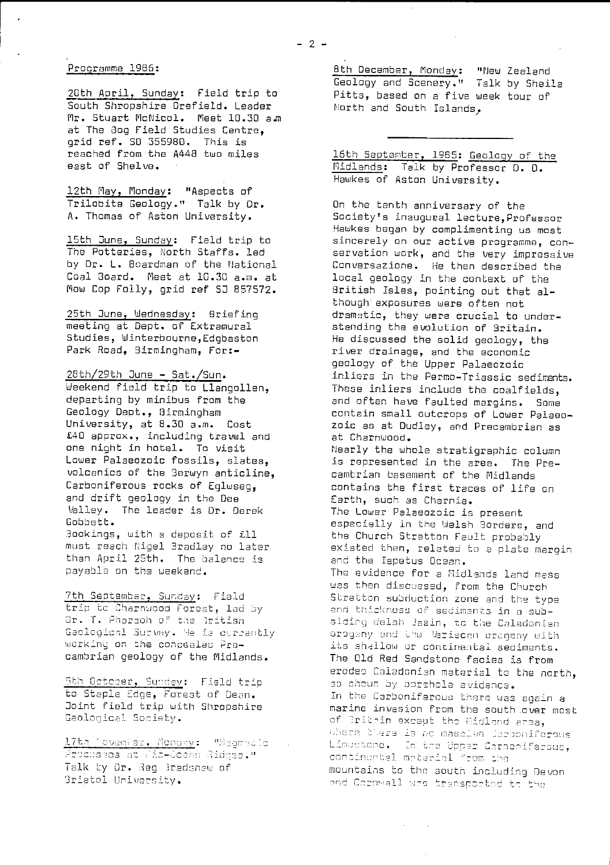# Procramme 1986:

20th April, Sunday: Field trip to South Shropshire Orefield. Leader Mr. Stuart McNicol. Meet 10.30 am at The Bog Field Studies Centre. grid ref. 50 355980. This is reached from the A448 two miles east of Shelve.

12th May, Monday: "Aspects of Trilobite Geology." Talk by Dr. A. Thomas of Aston University.

15th June, Sunday: Field trip to The Potteries, North Staffs. led by Dr. L. Boardman of the National Coal Board. Meet at 10.30 a.m. at Mow Cop Folly, grid ref SJ B57572.

25th June, Wednesday: Briefing meeting at Dept. of Extramural Studies, Winterbourne,Edgbaston Park Road, Birmingham, For:-

# 28th/29th June - Sat./Sun .

Weekend field trip to Llangollen, departing by minibus from the Geology Dept., Birmingham University, at 8.30 a.m. Cost £40 approx., including travel and one night in hotel. To visit Lower Palaeozoic fossils, slates, volcenics of the Berwyn anticline, Carboniferous rocks of Eglwseg, and drift geology in the Dee Valley. The leader is Dr. Derek Gobbett. 3ockings, with a deposit of ill

must reach tigel 3radloy no later than April 25th. The balance is payable on the weekend.

7th September, Sunday: Field trip to Charnwood Forest, led by Dr. T. Pharaoh of the Iritish Geological Survey. He is currently working on the concealed Precambrian geology of the Midlands.

<u>.<br>Sth Octoper, Sunday</u>: Field trip to Staple Edge, Forest of Dean. Joint field trip with Shropshire Geological Society.

17th Tovenier, Monday: "Magmacic" . Prochasea at Mic-Coann Ridges."<br>Talk by Dr. Reg 3radshaw of 3ristol University.

8th December, Monday: "New Zealand Geology and Scenery." Talk by Sheila Pitts, based on a five week tour of North and South Islands.

16th September, 1985: Geology of the Midlands: Talk by Professor D. D. Hawkes of Aston University.

On the tenth anniversary of the Society's inaugural lecture,Professor Hawkes began by complimenting us most sincerely on our active programme, conservation work, and the very impressive Conversazione. He then described the local geology in the context of the Hritish Isles, pointing out that although exposures were often not dramatic, they were crucial to understanding the evolution of 3ritain. He discussed the solid geology, the river drainage, and the economic geology of the Upper Palaeozoic inliers in the Permo-Triassic sediments. These inliers include the coalfields, and often have faulted margins. Some contain small outcrops of Lower Palaeozoic as at Dudley, and Precambrian as at Charnwood. Nearly the whole stratigrephic column is represented in the area. The Precambrian basement of the Midlands contains the first traces of life on Earth, such as Charnia. The Lower Palaeozoic is present especially in the Welsh 3orders, and the Church Stratton Fault probably existed then, related to a plate margin and the Iapetus Ocean. The evidence for a flidlands land mess was then discussed, from the Church Stretton subduction zone and the type and thickness of sediments in a subsiding Welsh Jasin, to the Caledonian<br>orogany and the Mariscon orogany with<br>its shillow ar continental activ orogeny and the Variscan orageny with<br>its shallow or continental sediments. The Old Red Sandstone facies is from erodes Caledonian material to the north, as shoun by porchola evidenca. In the Carboniferous there was again a marine invasion from the south over most of Britain except the Midland area,<br>where there is no mascive Carponiferous where you's to no maddish scipening.<br>Limbutan<mark>e. In</mark> the Upper Carnoniferou continuntal material from the<br>mountains to the south including Devon<br>and Corpwall was trensported to the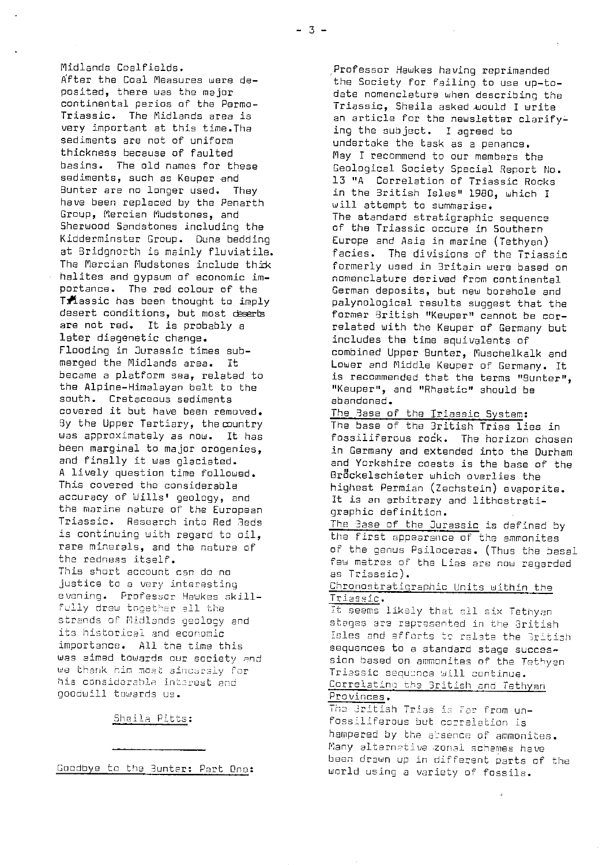Midlands Coalfields. After the Coal Measures were deposited, there was the major continental perios of the Permo-Triassic. The Midlands area is very important st this time.The sediments are not of uniform thickness because of faulted basins. The old names for these sediments, such as Keuper and Bunter are no longer used. They have been replaced by the Penarth Group, Mercian Mudstones, and Sherwood Sandstones including the Kidderminster Group. Dune bedding at Bridgnorth is mainly fluviatile. The Mercian Mudstones include thick halites and gypsum of economic importance. The red colour of the <sup>T</sup>**classic** has been thought to imply desert conditions, but most deserts are not red. It is probably a later diagenetic change. Flooding in Jurassic times submerged the Midlands area. It became a platform sea, related to the Alpine-Himalayan belt to the south. Cretaceous sediments covered it but have been removed. By the Upper. Tertiary, the country was approximately as now. It has been marginal to major orogenies, and finally it was glaciated. A lively question time followed. This covered the considerable accuracy of Wills' geology, and the marine nature of the European Triassic. Research into Red Beds is continuing with regard to oil, rare minerals, and the nature of the redness itself. This short account can do no justice to a very interesting evening. Professor Haukes skill fully drew together all the strands of Midlands geology and its historical and economic importance. All the time this was aimed towards our society and we thank him most sincersly for his considerable interest and aooduill towards us.

Sheila Pitts:

Goodbye to the Bunter: Part Dne:

Professor Hawkes having reprimanded the Society for failing to use up-todate nomenclature when describing the Triassic, Sheila asked would I write an article for the newsletter clarifying the subject. I agreed to undertake the task as a penance. May I <sup>r</sup> ecommend to our members the Geological Society Special Report No. 13 "A Correlation of Triassic Rocks in the British Isles" 1980, which I will attempt to summarise. The standard stretigraphic sequence of the Triassic occure in Southern Europe and Asia in marine (Tethyan) facies. The divisions of the Triassic formerly used in Britain were based on nomenclature derived from continental German deposits, but new borehole and palynological results suggest that the former British "Keuper" cannot be correlated with the Keuper of Germany but includes the time equivalents of combined Upper Hunter, Muschelkalk and Lower and Middle Keuper of Germany. It is recommended that the terms "Bunter", "Keuper", and "Rhaetic" should be abandoned.

The Base of the Iriassic System:

The base of the 3ritish Trias lies in fossiliferous rock. The horizon chosen in Germany and extended into the Durham and Yorkshire coasts is the base of the Brockelschieter which overlies the highest Permian (Zechstein) evaporite. It is an arbitrary and lithostratigraphic definition.

The Base of the Jurassic is defined by the first appearance of the ammonites of the genus Psiloceras. (Thus the basal few metres of the Lies are now regarded as Triassic).

Chronostratigraphie Units within the Triassic.

t seems likely that all six Tethyan stages are rapresented in the British Isles and efforts to relate the British sequences to a standard stage succession based on ammonites of the Tethyan Triessic sequence will continue. Correlating the Gritish and Tethyan Provinces .

The Gritish Trias is far from unfossiliferous hub correlation is hampered by the absence of ammonites. Many alternative zonal schemes have been drawn up in different parts of the world using a variety of fossils.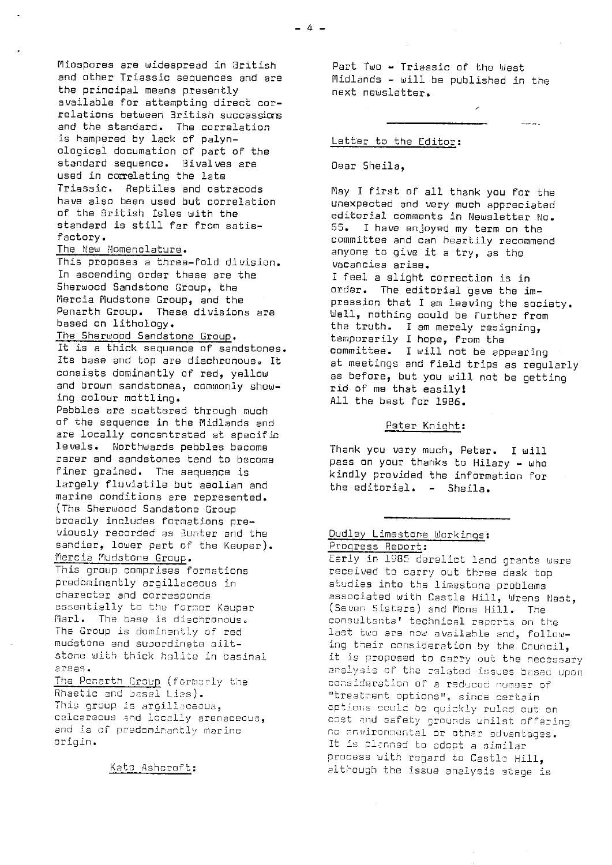Mliospores are widespread in British and other Triassic sequences and are the principal means presently available for attempting direct correlations between British **successions and** the standard. The correlation is hampered by lack of palynological documation of part of the standard sequence. Bivalves are used in correlating the late Triassic. Reptiles and ostraceds have also been used but correlation of the British Isles with the standard is still far from satisfactory.

## The New Nomenclature .

This proposes a three-fold division. In ascending order these are the Sherwood Sandstone Group, the Marcia Nudstone Group, and the Penarth Group. These divisions are based on lithology.

### The Sherwood Sandstone Group. It is a thick sequence of sandstones.

Its base and top are diechronous. It consists dominantly of red, yellow and brown sandstones, commonly showing colour mottling. Pebbles are scattered through much

of the sequence in the Midlands and are locally concentrated at specific levels. Northwards pebbles become rarer and sandstones tend to become finer grained. The sequence is largely fluvietile but aeolien and marine conditions are represented. (The Sherwood Sandstone Group broadly includes formations previously recorded as Bunter and the sandier, lower part of the Keupar). Marcia Nudstone Group.

This group comprises formations predominantly argillaceous in character and corresponds essentially to the former Keuper Marl. The base is diechronous. The Group is dominantly or rod mudstone and supordinate siltstone with thick halite in basinal areas.

The Penarth Group (formerly the Rhaetic and basal Lies). This group is argilleceous, calcareous end locally arenacecus, and is of predominantly marine origin.

Kato Ashcroft:

Part Two - Triassic of the West Midlands - will be published in the next newsletter.

#### Letter to the Editor:

#### Dear Sheila,

May I first of all thank you for the unexpected and very much appreciated editorial comments in Newsletter No. 55. I have enjoyed my term on the committee and can heartily recommend anyone to give it a try, as the vacancies arise.

I feel a slight correction is in order. The editorial gave the impression that I am leaving the society. Well, nothing could be further from the truth. I am merely resigning, temporarily I hope, from the committee. I will not be appearing at meetings and field trips as regularly as before, but you will not be getting rid of me that easily; All the best for 1986.

### Peter Knight:

Thank you very much, Peter. I will pass on your thanks to Hilary - who kindly provided the information for the editorial. - Sheila.

# Dudley Limestone Workings: Progress Report:

Early in 1985 derelict land grants were received to carry out three desk top studies into the limestone problems associated with Castle Hill, Wrens Host, (Seven Sisters) and Mons Hill. The consultants' technical reports on the last two are now availahle and, following their consideration by the Council, it is proposed to carry out the necessary analysis of the related issues based upon consideration of a reduced numoer of "treatment options", since certain *opt ior,s could* by guisk? y ruled out on cost *and* safety *\_rounds whilst offering* no nnvironncntel or other advantages. It is plenned to adopt a similar process with regard to Castle Hill, although the issue analysis stage is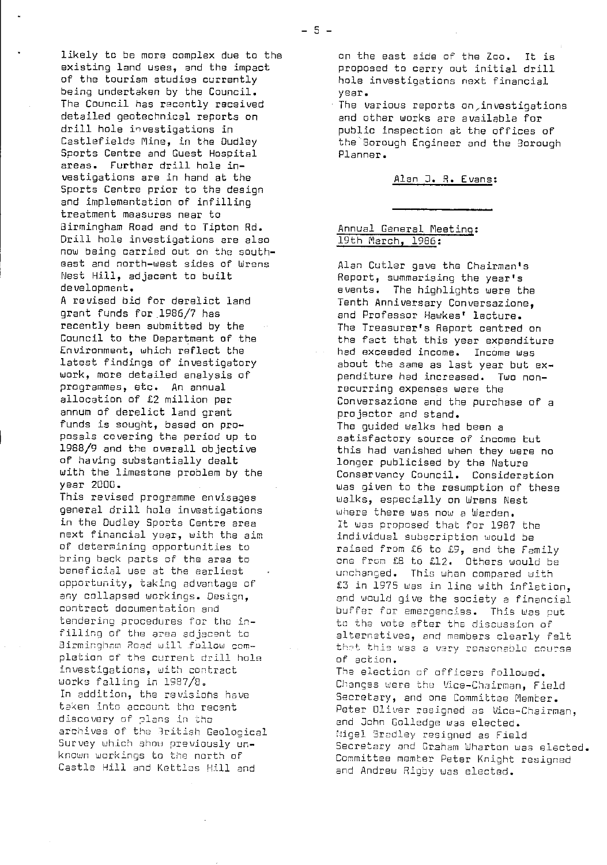likely to be more complex due to the existing land uses, and the impact of the tourism studies currently being undertaken by the Council. The Council has recently received detailed geotechnical reports on drill hole investigations in Castlefields Mine, in the Dudley Sports Centre and Guest Hospital areas. Further drill hole investigations are in hand at the Sports Centre prior to the design and implementation of infilling treatment measures near to Birmingham Road and to Tipton Rd. Drill hole investigations are also now being carried out on the southeast and north-west sides of Wrens Nest Hill, adjacent to built development.

A revised bid for derelict land grant funds for.1986/7 has recently been submitted by the Council to the Department of the Environment, which reflect the latest findings of investigatory work, more detailed analysis of programmes, etc. An annual allocation of £2 million per annum of derelict land grant funds is sought, based on proposals covering the period up to 1988/9 and the overall objective of having substantially dealt with the limestone problem by the year 2000.

This revised programme envisages general drill hole investigations in the Dudley Sports Centre area next financial year, with the aim of determining opportunities to bring back parts of the area to beneficial use at the earliest opportunity, taking advantage of any collapsed workings. Design, contract documentation and tendering procedures for the infilling of the area adjacent to airmingham Road will follow completion of the current drill hole investigations, with contract works falling in 1987/a. In addition, the revisions have taken into account the recent discovery of plans in the archives of the British Geological Survey which shoe previously unknown workings to the north of Castle Hill and Kettles Hill and

on the east side of the Zoo. It is proposed to carry out initial drill hole investigations next financial year.

The various reports on,investigatiens and other works are available for public inspection at the offices of the Borough Engineer and the Borough Planner.

#### Alan J. R. Evans:

## Annual General Meeting : 19th March, 1986:

Alan Cutler gave the Chairman's Report, summarising the year's events. The highlights were the Tenth Anniversary Conversazione, and Professor Hawkes' lecture. The Treasurer's Report centred on the fact that this year expenditure had exceeded income. Income was about the same as last year but expenditure had increased. Two nonrecurring expenses were the Conversazione and the purchase of a projector and stand. The guided walks had been a satisfactory source of income but this had vanished when they were no longer publicised by the Nature Conservancy Council. Consideration was given to the resumption of these walks, especially on Wrens Nest where there was now a Warden. It was proposed that for 1987 the individual subscription would be raised from £6 to £9, and the Family one from E8 to £12. Others would be unchanged. This uhen compared with £3 in 1975 was in line with inflation, and would give the society a financial buffer for emergencies. This was put to the vote after the discussion of alternatives, and members clearly felt that this was a vary reasonable course of action.

The election of officers folloued. Changes were the Vice-Chairman, Field Secretary, and one Committee Member. Peter Oliver resigned as Vice-Chairman, and ]ohn Golledge was elected. Nigel 3radley resigned as Field Secretary and Graham Wharton was elected. Committee member Peter Knight resigned and Andrew Rigby was elected.